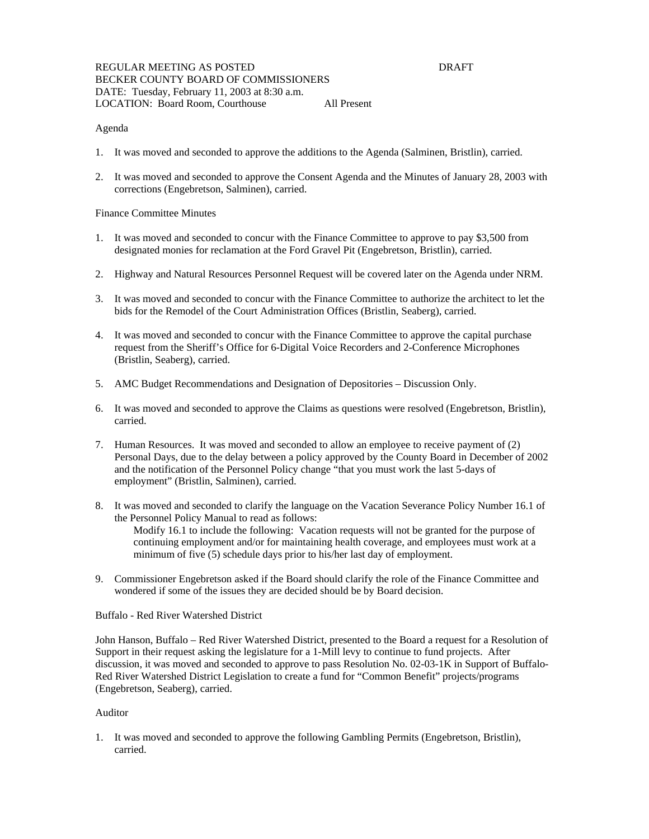## Agenda

- 1. It was moved and seconded to approve the additions to the Agenda (Salminen, Bristlin), carried.
- 2. It was moved and seconded to approve the Consent Agenda and the Minutes of January 28, 2003 with corrections (Engebretson, Salminen), carried.

#### Finance Committee Minutes

- 1. It was moved and seconded to concur with the Finance Committee to approve to pay \$3,500 from designated monies for reclamation at the Ford Gravel Pit (Engebretson, Bristlin), carried.
- 2. Highway and Natural Resources Personnel Request will be covered later on the Agenda under NRM.
- 3. It was moved and seconded to concur with the Finance Committee to authorize the architect to let the bids for the Remodel of the Court Administration Offices (Bristlin, Seaberg), carried.
- 4. It was moved and seconded to concur with the Finance Committee to approve the capital purchase request from the Sheriff's Office for 6-Digital Voice Recorders and 2-Conference Microphones (Bristlin, Seaberg), carried.
- 5. AMC Budget Recommendations and Designation of Depositories Discussion Only.
- 6. It was moved and seconded to approve the Claims as questions were resolved (Engebretson, Bristlin), carried.
- 7. Human Resources. It was moved and seconded to allow an employee to receive payment of (2) Personal Days, due to the delay between a policy approved by the County Board in December of 2002 and the notification of the Personnel Policy change "that you must work the last 5-days of employment" (Bristlin, Salminen), carried.
- 8. It was moved and seconded to clarify the language on the Vacation Severance Policy Number 16.1 of the Personnel Policy Manual to read as follows: Modify 16.1 to include the following: Vacation requests will not be granted for the purpose of continuing employment and/or for maintaining health coverage, and employees must work at a minimum of five (5) schedule days prior to his/her last day of employment.
- 9. Commissioner Engebretson asked if the Board should clarify the role of the Finance Committee and wondered if some of the issues they are decided should be by Board decision.

## Buffalo - Red River Watershed District

John Hanson, Buffalo – Red River Watershed District, presented to the Board a request for a Resolution of Support in their request asking the legislature for a 1-Mill levy to continue to fund projects. After discussion, it was moved and seconded to approve to pass Resolution No. 02-03-1K in Support of Buffalo-Red River Watershed District Legislation to create a fund for "Common Benefit" projects/programs (Engebretson, Seaberg), carried.

#### Auditor

1. It was moved and seconded to approve the following Gambling Permits (Engebretson, Bristlin), carried.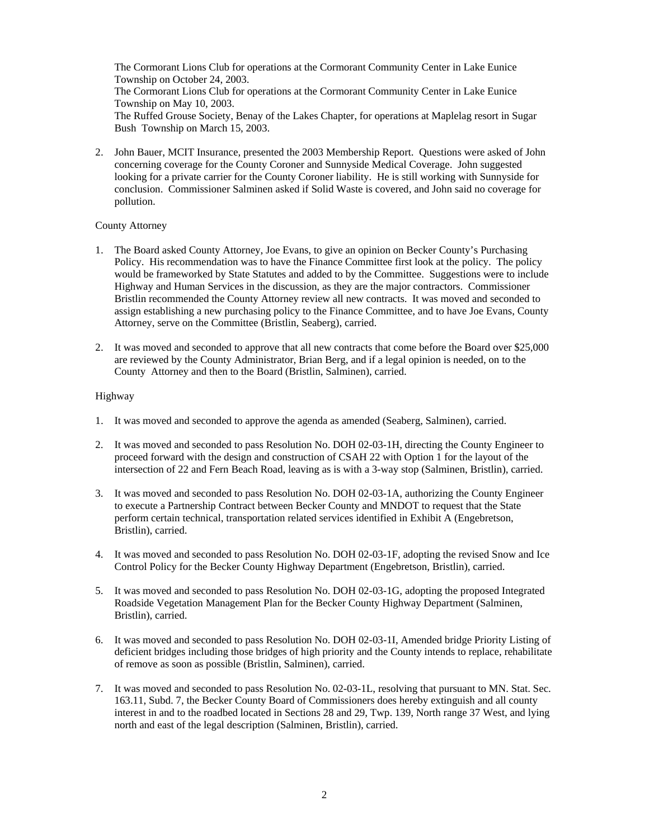The Cormorant Lions Club for operations at the Cormorant Community Center in Lake Eunice Township on October 24, 2003. The Cormorant Lions Club for operations at the Cormorant Community Center in Lake Eunice Township on May 10, 2003. The Ruffed Grouse Society, Benay of the Lakes Chapter, for operations at Maplelag resort in Sugar Bush Township on March 15, 2003.

2. John Bauer, MCIT Insurance, presented the 2003 Membership Report. Questions were asked of John concerning coverage for the County Coroner and Sunnyside Medical Coverage. John suggested looking for a private carrier for the County Coroner liability. He is still working with Sunnyside for conclusion. Commissioner Salminen asked if Solid Waste is covered, and John said no coverage for pollution.

## County Attorney

- 1. The Board asked County Attorney, Joe Evans, to give an opinion on Becker County's Purchasing Policy. His recommendation was to have the Finance Committee first look at the policy. The policy would be frameworked by State Statutes and added to by the Committee. Suggestions were to include Highway and Human Services in the discussion, as they are the major contractors. Commissioner Bristlin recommended the County Attorney review all new contracts. It was moved and seconded to assign establishing a new purchasing policy to the Finance Committee, and to have Joe Evans, County Attorney, serve on the Committee (Bristlin, Seaberg), carried.
- 2. It was moved and seconded to approve that all new contracts that come before the Board over \$25,000 are reviewed by the County Administrator, Brian Berg, and if a legal opinion is needed, on to the County Attorney and then to the Board (Bristlin, Salminen), carried.

## Highway

- 1. It was moved and seconded to approve the agenda as amended (Seaberg, Salminen), carried.
- 2. It was moved and seconded to pass Resolution No. DOH 02-03-1H, directing the County Engineer to proceed forward with the design and construction of CSAH 22 with Option 1 for the layout of the intersection of 22 and Fern Beach Road, leaving as is with a 3-way stop (Salminen, Bristlin), carried.
- 3. It was moved and seconded to pass Resolution No. DOH 02-03-1A, authorizing the County Engineer to execute a Partnership Contract between Becker County and MNDOT to request that the State perform certain technical, transportation related services identified in Exhibit A (Engebretson, Bristlin), carried.
- 4. It was moved and seconded to pass Resolution No. DOH 02-03-1F, adopting the revised Snow and Ice Control Policy for the Becker County Highway Department (Engebretson, Bristlin), carried.
- 5. It was moved and seconded to pass Resolution No. DOH 02-03-1G, adopting the proposed Integrated Roadside Vegetation Management Plan for the Becker County Highway Department (Salminen, Bristlin), carried.
- 6. It was moved and seconded to pass Resolution No. DOH 02-03-1I, Amended bridge Priority Listing of deficient bridges including those bridges of high priority and the County intends to replace, rehabilitate of remove as soon as possible (Bristlin, Salminen), carried.
- 7. It was moved and seconded to pass Resolution No. 02-03-1L, resolving that pursuant to MN. Stat. Sec. 163.11, Subd. 7, the Becker County Board of Commissioners does hereby extinguish and all county interest in and to the roadbed located in Sections 28 and 29, Twp. 139, North range 37 West, and lying north and east of the legal description (Salminen, Bristlin), carried.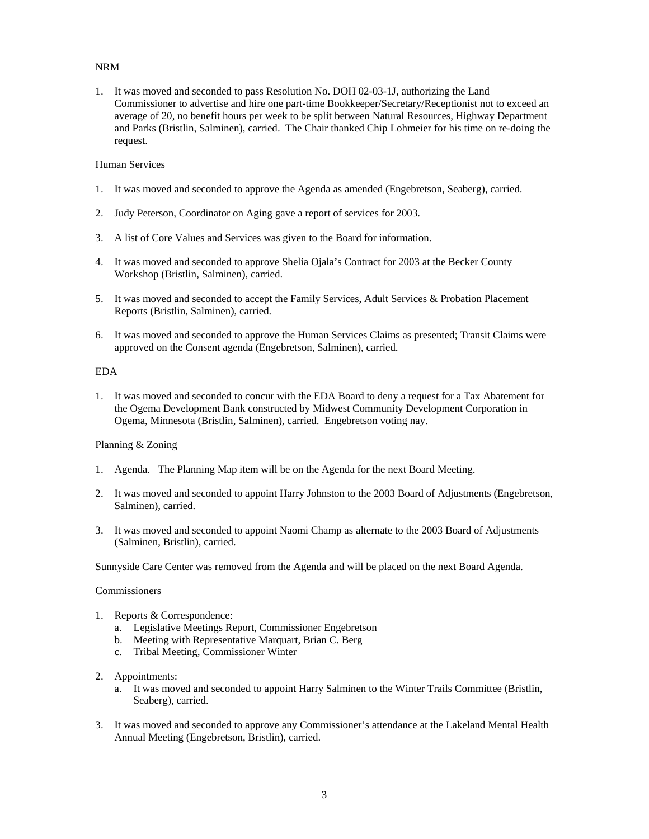# NRM

1. It was moved and seconded to pass Resolution No. DOH 02-03-1J, authorizing the Land Commissioner to advertise and hire one part-time Bookkeeper/Secretary/Receptionist not to exceed an average of 20, no benefit hours per week to be split between Natural Resources, Highway Department and Parks (Bristlin, Salminen), carried. The Chair thanked Chip Lohmeier for his time on re-doing the request.

## Human Services

- 1. It was moved and seconded to approve the Agenda as amended (Engebretson, Seaberg), carried.
- 2. Judy Peterson, Coordinator on Aging gave a report of services for 2003.
- 3. A list of Core Values and Services was given to the Board for information.
- 4. It was moved and seconded to approve Shelia Ojala's Contract for 2003 at the Becker County Workshop (Bristlin, Salminen), carried.
- 5. It was moved and seconded to accept the Family Services, Adult Services & Probation Placement Reports (Bristlin, Salminen), carried.
- 6. It was moved and seconded to approve the Human Services Claims as presented; Transit Claims were approved on the Consent agenda (Engebretson, Salminen), carried.

## EDA

1. It was moved and seconded to concur with the EDA Board to deny a request for a Tax Abatement for the Ogema Development Bank constructed by Midwest Community Development Corporation in Ogema, Minnesota (Bristlin, Salminen), carried. Engebretson voting nay.

# Planning & Zoning

- 1. Agenda. The Planning Map item will be on the Agenda for the next Board Meeting.
- 2. It was moved and seconded to appoint Harry Johnston to the 2003 Board of Adjustments (Engebretson, Salminen), carried.
- 3. It was moved and seconded to appoint Naomi Champ as alternate to the 2003 Board of Adjustments (Salminen, Bristlin), carried.

Sunnyside Care Center was removed from the Agenda and will be placed on the next Board Agenda.

## Commissioners

- 1. Reports & Correspondence:
	- a. Legislative Meetings Report, Commissioner Engebretson
	- b. Meeting with Representative Marquart, Brian C. Berg
	- c. Tribal Meeting, Commissioner Winter
- 2. Appointments:
	- a. It was moved and seconded to appoint Harry Salminen to the Winter Trails Committee (Bristlin, Seaberg), carried.
- 3. It was moved and seconded to approve any Commissioner's attendance at the Lakeland Mental Health Annual Meeting (Engebretson, Bristlin), carried.